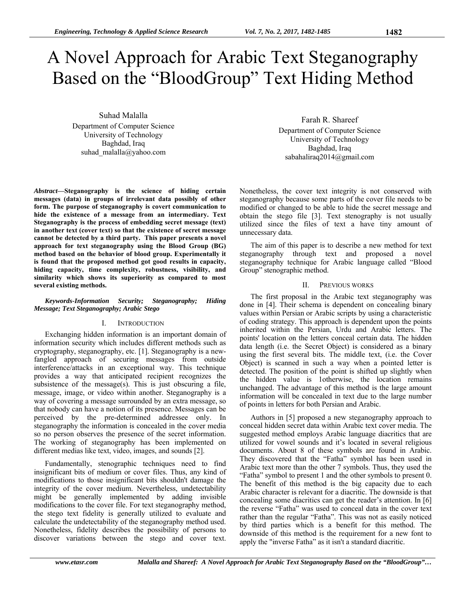# A Novel Approach for Arabic Text Steganography Based on the "BloodGroup" Text Hiding Method

Suhad Malalla

Department of Computer Science University of Technology Baghdad, Iraq suhad\_malalla@yahoo.com

*Abstract***—Steganography is the science of hiding certain messages (data) in groups of irrelevant data possibly of other form. The purpose of steganography is covert communication to hide the existence of a message from an intermediary. Text Steganography is the process of embedding secret message (text) in another text (cover text) so that the existence of secret message cannot be detected by a third party. This paper presents a novel approach for text steganography using the Blood Group (BG) method based on the behavior of blood group. Experimentally it is found that the proposed method got good results in capacity, hiding capacity, time complexity, robustness, visibility, and similarity which shows its superiority as compared to most several existing methods.** 

#### *Keywords-Information Security; Steganography; Hiding Message; Text Steganography; Arabic Stego*

#### I. INTRODUCTION

Exchanging hidden information is an important domain of information security which includes different methods such as cryptography, steganography, etc. [1]. Steganography is a newfangled approach of securing messages from outside interference/attacks in an exceptional way. This technique provides a way that anticipated recipient recognizes the subsistence of the message $(s)$ . This is just obscuring a file, message, image, or video within another. Steganography is a way of covering a message surrounded by an extra message, so that nobody can have a notion of its presence. Messages can be perceived by the pre-determined addressee only. In steganography the information is concealed in the cover media so no person observes the presence of the secret information. The working of steganography has been implemented on different medias like text, video, images, and sounds [2].

Fundamentally, stenographic techniques need to find insignificant bits of medium or cover files. Thus, any kind of modifications to those insignificant bits shouldn't damage the integrity of the cover medium. Nevertheless, undetectability might be generally implemented by adding invisible modifications to the cover file. For text steganography method, the stego text fidelity is generally utilized to evaluate and calculate the undetectability of the steganography method used. Nonetheless, fidelity describes the possibility of persons to discover variations between the stego and cover text.

Farah R. Shareef Department of Computer Science University of Technology Baghdad, Iraq sabahaliraq2014@gmail.com

Nonetheless, the cover text integrity is not conserved with steganography because some parts of the cover file needs to be modified or changed to be able to hide the secret message and obtain the stego file [3]. Text stenography is not usually utilized since the files of text a have tiny amount of unnecessary data.

The aim of this paper is to describe a new method for text steganography through text and proposed a novel steganography technique for Arabic language called "Blood Group" stenographic method.

#### II. PREVIOUS WORKS

The first proposal in the Arabic text steganography was done in [4]. Their schema is dependent on concealing binary values within Persian or Arabic scripts by using a characteristic of coding strategy. This approach is dependent upon the points inherited within the Persian, Urdu and Arabic letters. The points' location on the letters conceal certain data. The hidden data length (i.e. the Secret Object) is considered as a binary using the first several bits. The middle text, (i.e. the Cover Object) is scanned in such a way when a pointed letter is detected. The position of the point is shifted up slightly when the hidden value is 1otherwise, the location remains unchanged. The advantage of this method is the large amount information will be concealed in text due to the large number of points in letters for both Persian and Arabic.

Authors in [5] proposed a new steganography approach to conceal hidden secret data within Arabic text cover media. The suggested method employs Arabic language diacritics that are utilized for vowel sounds and it's located in several religious documents. About 8 of these symbols are found in Arabic. They discovered that the "Fatha" symbol has been used in Arabic text more than the other 7 symbols. Thus, they used the "Fatha" symbol to present 1 and the other symbols to present 0. The benefit of this method is the big capacity due to each Arabic character is relevant for a diacritic. The downside is that concealing some diacritics can get the reader's attention. In [6] the reverse "Fatha" was used to conceal data in the cover text rather than the regular "Fatha". This was not as easily noticed by third parties which is a benefit for this method. The downside of this method is the requirement for a new font to apply the "inverse Fatha" as it isn't a standard diacritic.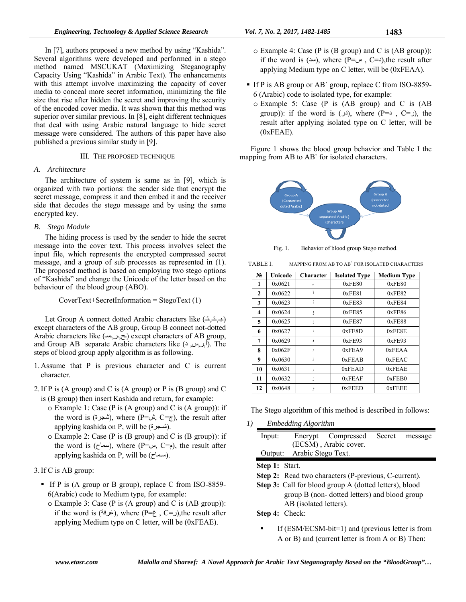In [7], authors proposed a new method by using "Kashida". Several algorithms were developed and performed in a stego method named MSCUKAT (Maximizing Steganography Capacity Using "Kashida" in Arabic Text). The enhancements with this attempt involve maximizing the capacity of cover media to conceal more secret information, minimizing the file size that rise after hidden the secret and improving the security of the encoded cover media. It was shown that this method was superior over similar previous. In [8], eight different techniques that deal with using Arabic natural language to hide secret message were considered. The authors of this paper have also published a previous similar study in [9].

#### III. THE PROPOSED TECHNIQUE

#### *A. Architecture*

The architecture of system is same as in [9], which is organized with two portions: the sender side that encrypt the secret message, compress it and then embed it and the receiver side that decodes the stego message and by using the same encrypted key.

#### *B. Stego Module*

The hiding process is used by the sender to hide the secret message into the cover text. This process involves select the input file, which represents the encrypted compressed secret message, and a group of sub processes as represented in (1). The proposed method is based on employing two stego options of "Kashida" and change the Unicode of the letter based on the behaviour of the blood group (ABO).

CoverText+SecretInformation = StegoText (1)

Let Group A connect dotted Arabic characters like  $(1, 1, 1)$ except characters of the AB group, Group B connect not-dotted Arabic characters like (بح, بعد) except characters of AB group, and Group AB separate Arabic characters like ( $\ell$ ,  $\mu$ ,  $\ell$ ). The steps of blood group apply algorithm is as following.

- 1. Assume that P is previous character and C is current character.
- 2.If P is (A group) and C is (A group) or P is (B group) and C is (B group) then insert Kashida and return, for example:
	- o Example 1*:* Case (P is (A group) and C is (A group)): if the word is (شجرة), where (P=شبرة), the result after applying kashida on P, will be (شجرة).
	- o Example 2: Case (P is (B group) and C is (B group)): if the word is (سماح), where (P=س, C= $\epsilon$ ), the result after applying kashida on P, will be (سماح).

## 3.If C is AB group:

- If P is (A group or B group), replace C from ISO-8859-6(Arabic) code to Medium type, for example:
	- o Example 3: Case (P is (A group) and C is (AB group)): if the word is (غرفة), where (P= $\zeta$ , C=), the result after applying Medium type on C letter, will be (0xFEAE).
- If P is AB group or AB` group, replace C from ISO-8859- 6 (Arabic) code to isolated type, for example:
	- o Example 5: Case (P is (AB group) and C is (AB group)): if the word is  $(\rightarrow)$ , where  $(P=\rightarrow)$ ,  $C=\rightarrow)$ , the result after applying isolated type on C letter, will be (0xFEAE).

Figure 1 shows the blood group behavior and Table I the mapping from AB to AB` for isolated characters.



Fig. 1. Behavior of blood group Stego method.

TABLE I. MAPPING FROM AB TO AB` FOR ISOLATED CHARACTERS

| $N_2$        | Unicode | <b>Character</b> | <b>Isolated Type</b> | <b>Medium Type</b> |
|--------------|---------|------------------|----------------------|--------------------|
| 1            | 0x0621  | ¢                | 0xFE80               | 0xFE80             |
| $\mathbf{2}$ | 0x0622  | ī                | 0xFE81               | 0xFE82             |
| 3            | 0x0623  |                  | 0xFE83               | 0xFE84             |
| 4            | 0x0624  | ۇ                | 0xFE85               | 0xFE86             |
| 5            | 0x0625  |                  | 0xFE87               | 0xFE88             |
| 6            | 0x0627  |                  | 0xFE8D               | 0xFE8E             |
| 7            | 0x0629  | ã                | 0xFE93               | 0xFE93             |
| 8            | 0x062F  | د                | 0xFEA9               | 0xFEAA             |
| 9            | 0x0630  | Ż,               | 0xFEAB               | 0xFEAC             |
| 10           | 0x0631  | ر                | 0xFEAD               | <b>OXFEAE</b>      |
| 11           | 0x0632  | ز                | 0xFEAF               | 0xFEB0             |
| 12           | 0x0648  | و                | 0xFED                | 0xFEEE             |

The Stego algorithm of this method is described in follows:

*1) Embedding Algorithm* 

| Input:         |                            | Encrypt Compressed    | Secret | message |  |  |  |
|----------------|----------------------------|-----------------------|--------|---------|--|--|--|
|                |                            | (ECSM), Arabic cover. |        |         |  |  |  |
|                | Output: Arabic Stego Text. |                       |        |         |  |  |  |
| Step 1: Start. |                            |                       |        |         |  |  |  |

**Step 2:** Read two characters (P-previous, C-current).

**Step 3:** Call for blood group A (dotted letters), blood group B (non- dotted letters) and blood group AB (isolated letters).

**Step 4:** Check:

 $\blacksquare$  If (ESM/ECSM-bit=1) and (previous letter is from A or B) and (current letter is from A or B) Then: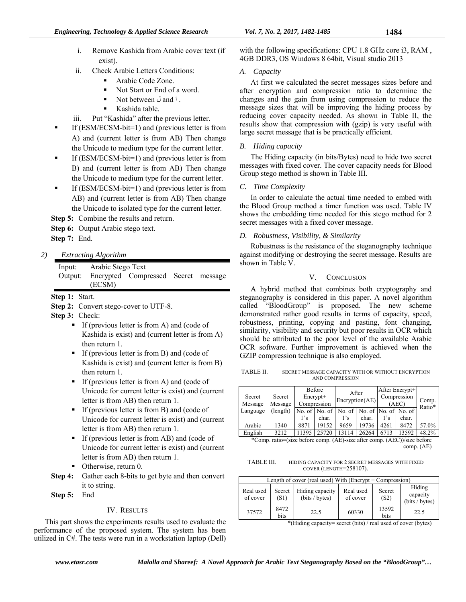- i. Remove Kashida from Arabic cover text (if exist).
- ii. Check Arabic Letters Conditions:
	- Arabic Code Zone.
	- Not Start or End of a word.
	- Not between  $\cup$  and  $\vdots$
	- Kashida table.
- iii. Put "Kashida" after the previous letter.
- If (ESM/ECSM-bit=1) and (previous letter is from A) and (current letter is from AB) Then change the Unicode to medium type for the current letter.
- If (ESM/ECSM-bit=1) and (previous letter is from B) and (current letter is from AB) Then change the Unicode to medium type for the current letter.
- If (ESM/ECSM-bit=1) and (previous letter is from AB) and (current letter is from AB) Then change the Unicode to isolated type for the current letter.

**Step 5:** Combine the results and return.

## **Step 6:** Output Arabic stego text.

**Step 7:** End.

## *2) Extracting Algorithm*

| Input:  | Arabic Stego Text |                                     |  |
|---------|-------------------|-------------------------------------|--|
| Output: |                   | Encrypted Compressed Secret message |  |
|         | (ECSM)            |                                     |  |

**Step 1:** Start.

**Step 3:** Check:

- If (previous letter is from A) and (code of Kashida is exist) and (current letter is from A) then return 1.
- If (previous letter is from B) and (code of Kashida is exist) and (current letter is from B) then return 1.
- If (previous letter is from A) and (code of Unicode for current letter is exist) and (current letter is from AB) then return 1.
- If (previous letter is from B) and (code of Unicode for current letter is exist) and (current letter is from AB) then return 1.
- If (previous letter is from AB) and (code of Unicode for current letter is exist) and (current letter is from AB) then return 1.
- Otherwise, return 0.
- **Step 4:** Gather each 8-bits to get byte and then convert it to string.

**Step 5:** End

## IV. RESULTS

This part shows the experiments results used to evaluate the performance of the proposed system. The system has been utilized in C#. The tests were run in a workstation laptop (Dell) with the following specifications: CPU 1.8 GHz core i3, RAM , 4GB DDR3, OS Windows 8 64bit, Visual studio 2013

## *A. Capacity*

At first we calculated the secret messages sizes before and after encryption and compression ratio to determine the changes and the gain from using compression to reduce the message sizes that will be improving the hiding process by reducing cover capacity needed. As shown in Table II, the results show that compression with (gzip) is very useful with large secret message that is be practically efficient.

## *B. Hiding capacity*

The Hiding capacity (in bits/Bytes) need to hide two secret messages with fixed cover. The cover capacity needs for Blood Group stego method is shown in Table III.

## *C. Time Complexity*

In order to calculate the actual time needed to embed with the Blood Group method a timer function was used. Table IV shows the embedding time needed for this stego method for 2 secret messages with a fixed cover message.

## *D. Robustness, Visibility, & Similarity*

Robustness is the resistance of the steganography technique against modifying or destroying the secret message. Results are shown in Table V.

#### V. CONCLUSION

A hybrid method that combines both cryptography and steganography is considered in this paper. A novel algorithm called "BloodGroup" is proposed. The new scheme demonstrated rather good results in terms of capacity, speed, robustness, printing, copying and pasting, font changing, similarity, visibility and security but poor results in OCR which should be attributed to the poor level of the available Arabic OCR software. Further improvement is achieved when the GZIP compression technique is also employed.

TABLE II. SECRET MESSAGE CAPACITY WITH OR WITHOUT ENCRYPTION AND COMPRESSION

| Secret<br>Message | Secret<br>Message | Before<br>$\text{Encrypt+}$<br>Compression |                       | After<br>Encryption(AE) |       | After Encrypt+<br>Compression<br>(AEC) |                                      | Comp.<br>Ratio* |
|-------------------|-------------------|--------------------------------------------|-----------------------|-------------------------|-------|----------------------------------------|--------------------------------------|-----------------|
| Language          | (length)          |                                            | No. of $\vert$ No. of | No. of                  |       |                                        | No. of $\vert$ No. of $\vert$ No. of |                 |
|                   |                   | 1's                                        | char.                 | 1's                     | char. | 1's                                    | char.                                |                 |
| Arabic            | 1340              | 8871                                       | 19152                 | 9659                    | 19736 | 4261                                   | 8472                                 | 57.0%           |
| English           | 3212              | 11395                                      | 25720                 |                         | 26264 | 6713                                   | 13592                                | 48.2%           |

\*Comp. ratio=(size before comp. (AE)-size after comp. (AEC))/size before comp. (AE)

TABLE III. HIDING CAPACITY FOR 2 SECRET MESSAGES WITH FIXED COVER (LENGTH=258107).

| Length of cover (real used) With (Encrypt $+$ Compression) |                |                                   |                       |                |                                      |  |  |  |
|------------------------------------------------------------|----------------|-----------------------------------|-----------------------|----------------|--------------------------------------|--|--|--|
| Real used<br>of cover                                      | Secret<br>(S1) | Hiding capacity<br>(bits / bytes) | Real used<br>of cover | Secret<br>(S2) | Hiding<br>capacity<br>(bits / bytes) |  |  |  |
| 37572                                                      | 8472<br>bits   | 22.5                              | 60330                 | 13592<br>bits  | 22.5                                 |  |  |  |

\*(Hiding capacity= secret (bits) / real used of cover (bytes)

**Step 2:** Convert stego-cover to UTF-8.